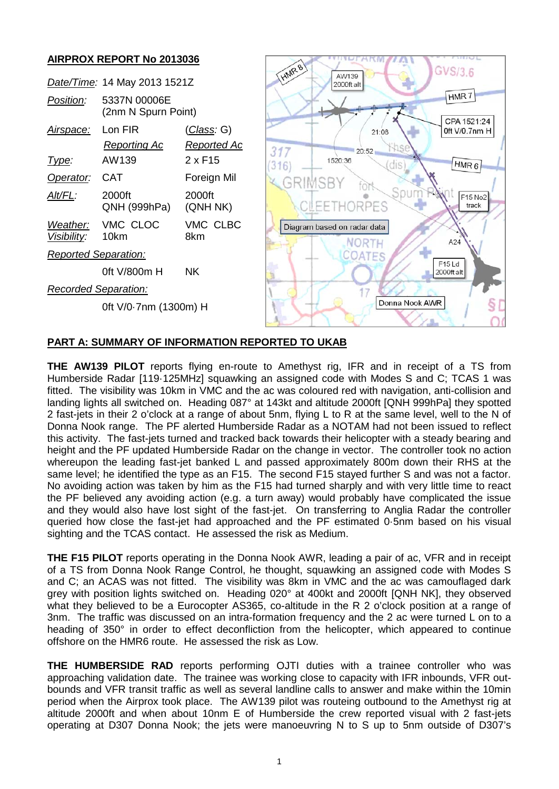## **AIRPROX REPORT No 2013036**

|                                 | Date/Time: 14 May 2013 1521Z        |                                          | HMR81<br>GVS/3.6<br>AW139<br>2000ft alt               |
|---------------------------------|-------------------------------------|------------------------------------------|-------------------------------------------------------|
| Position:                       | 5337N 00006E<br>(2nm N Spurn Point) |                                          | HMR7                                                  |
| <u>Airspace:</u>                | Lon FIR<br><b>Reporting Ac</b>      | <u>(Class</u> : G)<br><u>Reported Ac</u> | CPA 1521:24<br>Oft V/0.7nm H<br>21:08<br>317<br>20:52 |
| <u>Type:</u>                    | AW139                               | $2 \times F15$                           | 1520:36<br>(dis)<br>HMR <sub>6</sub><br>316           |
| Operator:                       | <b>CAT</b>                          | Foreign Mil                              | GRIMSBY                                               |
| Alt/FL:                         | 2000ft<br>QNH (999hPa)              | 2000ft<br>(QNH NK)                       | Sour<br>F15 No2<br>CLEETHORPES<br>track               |
| Weather:<br><u> Visibility:</u> | VMC CLOC<br>10km                    | VMC CLBC<br>8km                          | Diagram based on radar data<br>NORTH<br>A24           |
| <b>Reported Separation:</b>     |                                     |                                          | <b>COATES</b>                                         |
|                                 | 0ft V/800m H                        | <b>NK</b>                                | F <sub>15</sub> Ld<br>2000ft alt                      |
| <b>Recorded Separation:</b>     |                                     |                                          |                                                       |
| 0ft V/0-7nm (1300m) H           |                                     |                                          | Donna Nook AWR                                        |

A K WINDLAKW WAL

# **PART A: SUMMARY OF INFORMATION REPORTED TO UKAB**

**THE AW139 PILOT** reports flying en-route to Amethyst rig, IFR and in receipt of a TS from Humberside Radar [119·125MHz] squawking an assigned code with Modes S and C; TCAS 1 was fitted. The visibility was 10km in VMC and the ac was coloured red with navigation, anti-collision and landing lights all switched on. Heading 087° at 143kt and altitude 2000ft [QNH 999hPa] they spotted 2 fast-jets in their 2 o'clock at a range of about 5nm, flying L to R at the same level, well to the N of Donna Nook range. The PF alerted Humberside Radar as a NOTAM had not been issued to reflect this activity. The fast-jets turned and tracked back towards their helicopter with a steady bearing and height and the PF updated Humberside Radar on the change in vector. The controller took no action whereupon the leading fast-jet banked L and passed approximately 800m down their RHS at the same level; he identified the type as an F15. The second F15 stayed further S and was not a factor. No avoiding action was taken by him as the F15 had turned sharply and with very little time to react the PF believed any avoiding action (e.g. a turn away) would probably have complicated the issue and they would also have lost sight of the fast-jet. On transferring to Anglia Radar the controller queried how close the fast-jet had approached and the PF estimated 0·5nm based on his visual sighting and the TCAS contact. He assessed the risk as Medium.

**THE F15 PILOT** reports operating in the Donna Nook AWR, leading a pair of ac, VFR and in receipt of a TS from Donna Nook Range Control, he thought, squawking an assigned code with Modes S and C; an ACAS was not fitted. The visibility was 8km in VMC and the ac was camouflaged dark grey with position lights switched on. Heading 020° at 400kt and 2000ft [QNH NK], they observed what they believed to be a Eurocopter AS365, co-altitude in the R 2 o'clock position at a range of 3nm. The traffic was discussed on an intra-formation frequency and the 2 ac were turned L on to a heading of 350° in order to effect deconfliction from the helicopter, which appeared to continue offshore on the HMR6 route. He assessed the risk as Low.

**THE HUMBERSIDE RAD** reports performing OJTI duties with a trainee controller who was approaching validation date. The trainee was working close to capacity with IFR inbounds, VFR outbounds and VFR transit traffic as well as several landline calls to answer and make within the 10min period when the Airprox took place. The AW139 pilot was routeing outbound to the Amethyst rig at altitude 2000ft and when about 10nm E of Humberside the crew reported visual with 2 fast-jets operating at D307 Donna Nook; the jets were manoeuvring N to S up to 5nm outside of D307's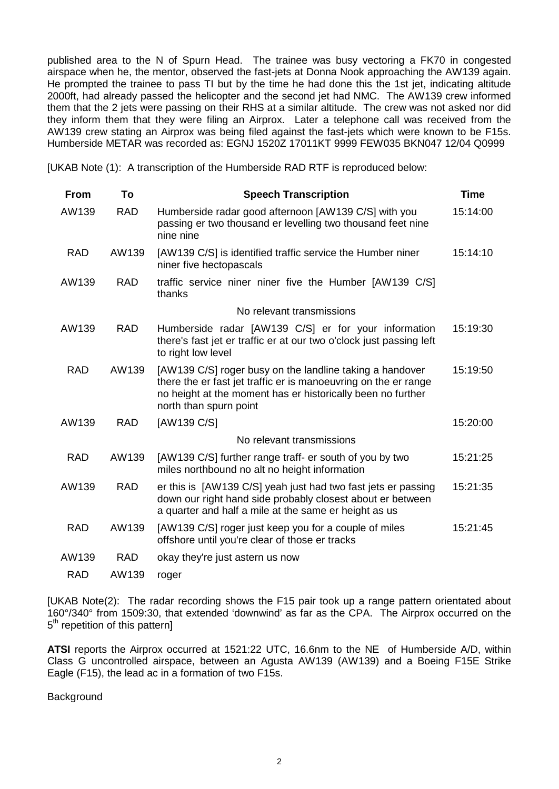published area to the N of Spurn Head. The trainee was busy vectoring a FK70 in congested airspace when he, the mentor, observed the fast-jets at Donna Nook approaching the AW139 again. He prompted the trainee to pass TI but by the time he had done this the 1st jet, indicating altitude 2000ft, had already passed the helicopter and the second jet had NMC. The AW139 crew informed them that the 2 jets were passing on their RHS at a similar altitude. The crew was not asked nor did they inform them that they were filing an Airprox. Later a telephone call was received from the AW139 crew stating an Airprox was being filed against the fast-jets which were known to be F15s. Humberside METAR was recorded as: EGNJ 1520Z 17011KT 9999 FEW035 BKN047 12/04 Q0999

[UKAB Note (1): A transcription of the Humberside RAD RTF is reproduced below:

| <b>From</b> | To         | <b>Speech Transcription</b>                                                                                                                                                                                          | <b>Time</b> |
|-------------|------------|----------------------------------------------------------------------------------------------------------------------------------------------------------------------------------------------------------------------|-------------|
| AW139       | <b>RAD</b> | Humberside radar good afternoon [AW139 C/S] with you<br>passing er two thousand er levelling two thousand feet nine<br>nine nine                                                                                     | 15:14:00    |
| <b>RAD</b>  | AW139      | [AW139 C/S] is identified traffic service the Humber niner<br>niner five hectopascals                                                                                                                                | 15:14:10    |
| AW139       | <b>RAD</b> | traffic service niner niner five the Humber [AW139 C/S]<br>thanks                                                                                                                                                    |             |
|             |            | No relevant transmissions                                                                                                                                                                                            |             |
| AW139       | <b>RAD</b> | Humberside radar [AW139 C/S] er for your information<br>there's fast jet er traffic er at our two o'clock just passing left<br>to right low level                                                                    | 15:19:30    |
| <b>RAD</b>  | AW139      | [AW139 C/S] roger busy on the landline taking a handover<br>there the er fast jet traffic er is manoeuvring on the er range<br>no height at the moment has er historically been no further<br>north than spurn point | 15:19:50    |
| AW139       | <b>RAD</b> | [AW139 C/S]                                                                                                                                                                                                          | 15:20:00    |
|             |            | No relevant transmissions                                                                                                                                                                                            |             |
| <b>RAD</b>  | AW139      | [AW139 C/S] further range traff- er south of you by two<br>miles northbound no alt no height information                                                                                                             | 15:21:25    |
| AW139       | <b>RAD</b> | er this is [AW139 C/S] yeah just had two fast jets er passing<br>down our right hand side probably closest about er between<br>a quarter and half a mile at the same er height as us                                 | 15:21:35    |
| <b>RAD</b>  | AW139      | [AW139 C/S] roger just keep you for a couple of miles<br>offshore until you're clear of those er tracks                                                                                                              | 15:21:45    |
| AW139       | <b>RAD</b> | okay they're just astern us now                                                                                                                                                                                      |             |
| <b>RAD</b>  | AW139      | roger                                                                                                                                                                                                                |             |

[UKAB Note(2): The radar recording shows the F15 pair took up a range pattern orientated about 160°/340° from 1509:30, that extended 'downwind' as far as the CPA. The Airprox occurred on the  $5<sup>th</sup>$  repetition of this pattern]

**ATSI** reports the Airprox occurred at 1521:22 UTC, 16.6nm to the NE of Humberside A/D, within Class G uncontrolled airspace, between an Agusta AW139 (AW139) and a Boeing F15E Strike Eagle (F15), the lead ac in a formation of two F15s.

**Background**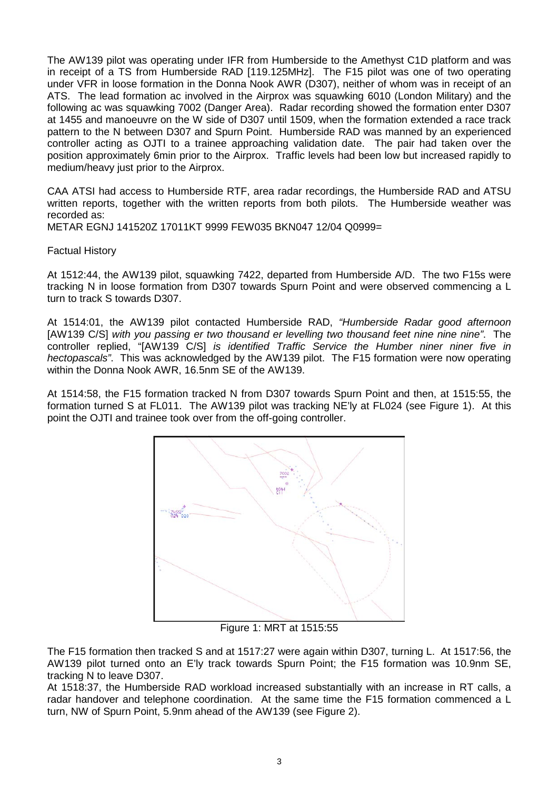The AW139 pilot was operating under IFR from Humberside to the Amethyst C1D platform and was in receipt of a TS from Humberside RAD [119.125MHz]. The F15 pilot was one of two operating under VFR in loose formation in the Donna Nook AWR (D307), neither of whom was in receipt of an ATS. The lead formation ac involved in the Airprox was squawking 6010 (London Military) and the following ac was squawking 7002 (Danger Area). Radar recording showed the formation enter D307 at 1455 and manoeuvre on the W side of D307 until 1509, when the formation extended a race track pattern to the N between D307 and Spurn Point. Humberside RAD was manned by an experienced controller acting as OJTI to a trainee approaching validation date. The pair had taken over the position approximately 6min prior to the Airprox. Traffic levels had been low but increased rapidly to medium/heavy just prior to the Airprox.

CAA ATSI had access to Humberside RTF, area radar recordings, the Humberside RAD and ATSU written reports, together with the written reports from both pilots. The Humberside weather was recorded as:

METAR EGNJ 141520Z 17011KT 9999 FEW035 BKN047 12/04 Q0999=

Factual History

At 1512:44, the AW139 pilot, squawking 7422, departed from Humberside A/D. The two F15s were tracking N in loose formation from D307 towards Spurn Point and were observed commencing a L turn to track S towards D307.

At 1514:01, the AW139 pilot contacted Humberside RAD, *"Humberside Radar good afternoon*  [AW139 C/S] *with you passing er two thousand er levelling two thousand feet nine nine nine"*. The controller replied, "[AW139 C/S] *is identified Traffic Service the Humber niner niner five in hectopascals"*. This was acknowledged by the AW139 pilot. The F15 formation were now operating within the Donna Nook AWR, 16.5nm SE of the AW139.

At 1514:58, the F15 formation tracked N from D307 towards Spurn Point and then, at 1515:55, the formation turned S at FL011. The AW139 pilot was tracking NE'ly at FL024 (see Figure 1). At this point the OJTI and trainee took over from the off-going controller.



Figure 1: MRT at 1515:55

The F15 formation then tracked S and at 1517:27 were again within D307, turning L. At 1517:56, the AW139 pilot turned onto an E'ly track towards Spurn Point; the F15 formation was 10.9nm SE, tracking N to leave D307.

At 1518:37, the Humberside RAD workload increased substantially with an increase in RT calls, a radar handover and telephone coordination. At the same time the F15 formation commenced a L turn, NW of Spurn Point, 5.9nm ahead of the AW139 (see Figure 2).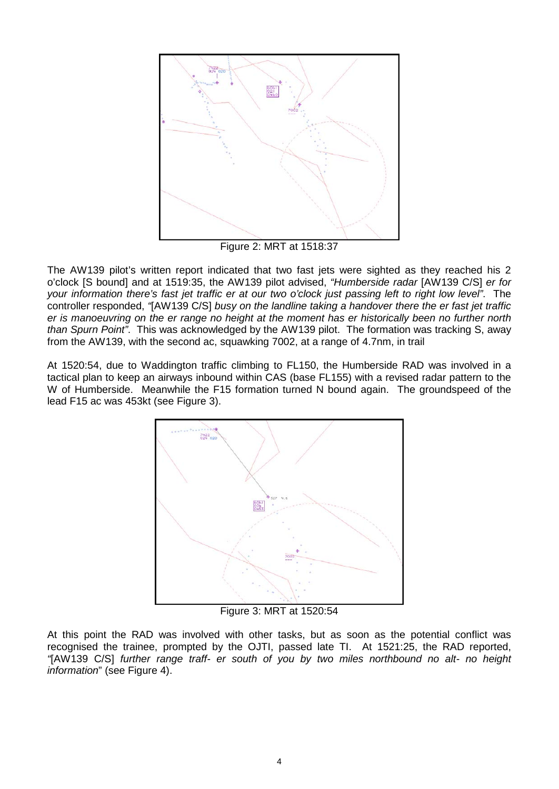

Figure 2: MRT at 1518:37

The AW139 pilot's written report indicated that two fast jets were sighted as they reached his 2 o'clock [S bound] and at 1519:35, the AW139 pilot advised, *"Humberside radar* [AW139 C/S] *er for your information there's fast jet traffic er at our two o'clock just passing left to right low level"*. The controller responded, *"*[AW139 C/S] *busy on the landline taking a handover there the er fast jet traffic er is manoeuvring on the er range no height at the moment has er historically been no further north than Spurn Point"*. This was acknowledged by the AW139 pilot. The formation was tracking S, away from the AW139, with the second ac, squawking 7002, at a range of 4.7nm, in trail

At 1520:54, due to Waddington traffic climbing to FL150, the Humberside RAD was involved in a tactical plan to keep an airways inbound within CAS (base FL155) with a revised radar pattern to the W of Humberside. Meanwhile the F15 formation turned N bound again. The groundspeed of the lead F15 ac was 453kt (see Figure 3).



Figure 3: MRT at 1520:54

At this point the RAD was involved with other tasks, but as soon as the potential conflict was recognised the trainee, prompted by the OJTI, passed late TI. At 1521:25, the RAD reported, *"*[AW139 C/S] *further range traff- er south of you by two miles northbound no alt- no height information*" (see Figure 4).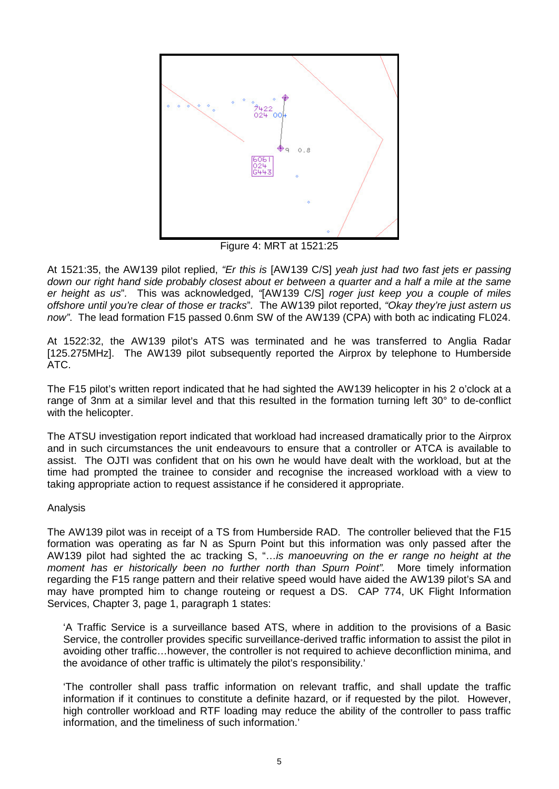

Figure 4: MRT at 1521:25

At 1521:35, the AW139 pilot replied, *"Er this is* [AW139 C/S] *yeah just had two fast jets er passing down our right hand side probably closest about er between a quarter and a half a mile at the same er height as us*"*.* This was acknowledged, *"*[AW139 C/S] *roger just keep you a couple of miles offshore until you're clear of those er tracks*"*.* The AW139 pilot reported, *"Okay they're just astern us now"*. The lead formation F15 passed 0.6nm SW of the AW139 (CPA) with both ac indicating FL024.

At 1522:32, the AW139 pilot's ATS was terminated and he was transferred to Anglia Radar [125.275MHz]. The AW139 pilot subsequently reported the Airprox by telephone to Humberside ATC.

The F15 pilot's written report indicated that he had sighted the AW139 helicopter in his 2 o'clock at a range of 3nm at a similar level and that this resulted in the formation turning left 30° to de-conflict with the helicopter.

The ATSU investigation report indicated that workload had increased dramatically prior to the Airprox and in such circumstances the unit endeavours to ensure that a controller or ATCA is available to assist. The OJTI was confident that on his own he would have dealt with the workload, but at the time had prompted the trainee to consider and recognise the increased workload with a view to taking appropriate action to request assistance if he considered it appropriate.

### Analysis

The AW139 pilot was in receipt of a TS from Humberside RAD. The controller believed that the F15 formation was operating as far N as Spurn Point but this information was only passed after the AW139 pilot had sighted the ac tracking S, "…*is manoeuvring on the er range no height at the moment has er historically been no further north than Spurn Point".* More timely information regarding the F15 range pattern and their relative speed would have aided the AW139 pilot's SA and may have prompted him to change routeing or request a DS. CAP 774, UK Flight Information Services, Chapter 3, page 1, paragraph 1 states:

'A Traffic Service is a surveillance based ATS, where in addition to the provisions of a Basic Service, the controller provides specific surveillance-derived traffic information to assist the pilot in avoiding other traffic…however, the controller is not required to achieve deconfliction minima, and the avoidance of other traffic is ultimately the pilot's responsibility.'

'The controller shall pass traffic information on relevant traffic, and shall update the traffic information if it continues to constitute a definite hazard, or if requested by the pilot. However, high controller workload and RTF loading may reduce the ability of the controller to pass traffic information, and the timeliness of such information.'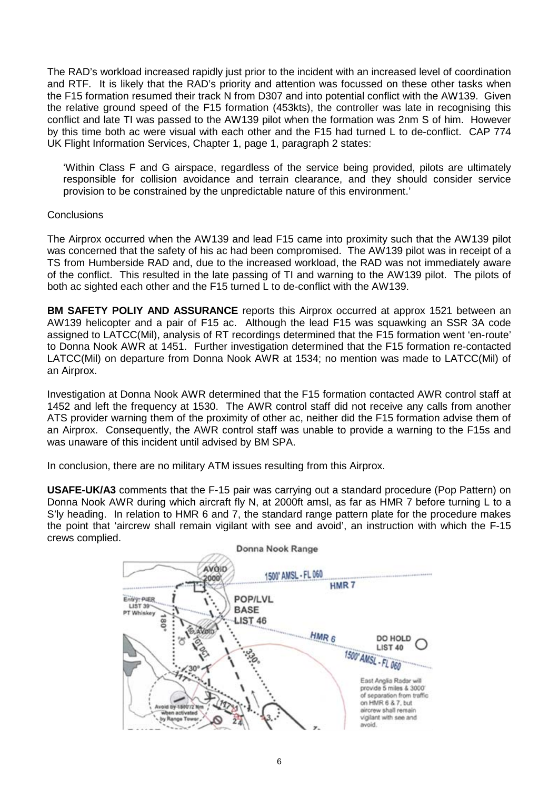The RAD's workload increased rapidly just prior to the incident with an increased level of coordination and RTF. It is likely that the RAD's priority and attention was focussed on these other tasks when the F15 formation resumed their track N from D307 and into potential conflict with the AW139. Given the relative ground speed of the F15 formation (453kts), the controller was late in recognising this conflict and late TI was passed to the AW139 pilot when the formation was 2nm S of him. However by this time both ac were visual with each other and the F15 had turned L to de-conflict. CAP 774 UK Flight Information Services, Chapter 1, page 1, paragraph 2 states:

'Within Class F and G airspace, regardless of the service being provided, pilots are ultimately responsible for collision avoidance and terrain clearance, and they should consider service provision to be constrained by the unpredictable nature of this environment.'

### **Conclusions**

The Airprox occurred when the AW139 and lead F15 came into proximity such that the AW139 pilot was concerned that the safety of his ac had been compromised. The AW139 pilot was in receipt of a TS from Humberside RAD and, due to the increased workload, the RAD was not immediately aware of the conflict. This resulted in the late passing of TI and warning to the AW139 pilot. The pilots of both ac sighted each other and the F15 turned L to de-conflict with the AW139.

**BM SAFETY POLIY AND ASSURANCE** reports this Airprox occurred at approx 1521 between an AW139 helicopter and a pair of F15 ac. Although the lead F15 was squawking an SSR 3A code assigned to LATCC(Mil), analysis of RT recordings determined that the F15 formation went 'en-route' to Donna Nook AWR at 1451. Further investigation determined that the F15 formation re-contacted LATCC(Mil) on departure from Donna Nook AWR at 1534; no mention was made to LATCC(Mil) of an Airprox.

Investigation at Donna Nook AWR determined that the F15 formation contacted AWR control staff at 1452 and left the frequency at 1530. The AWR control staff did not receive any calls from another ATS provider warning them of the proximity of other ac, neither did the F15 formation advise them of an Airprox. Consequently, the AWR control staff was unable to provide a warning to the F15s and was unaware of this incident until advised by BM SPA.

In conclusion, there are no military ATM issues resulting from this Airprox.

**USAFE-UK/A3** comments that the F-15 pair was carrying out a standard procedure (Pop Pattern) on Donna Nook AWR during which aircraft fly N, at 2000ft amsl, as far as HMR 7 before turning L to a S'ly heading. In relation to HMR 6 and 7, the standard range pattern plate for the procedure makes the point that 'aircrew shall remain vigilant with see and avoid', an instruction with which the F-15 crews complied.